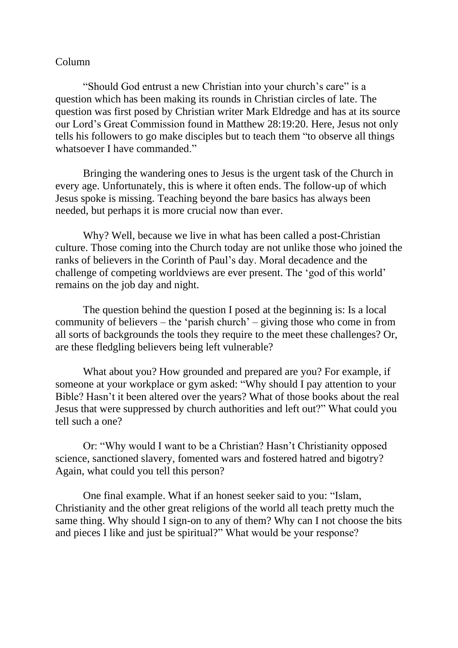## Column

"Should God entrust a new Christian into your church's care" is a question which has been making its rounds in Christian circles of late. The question was first posed by Christian writer Mark Eldredge and has at its source our Lord's Great Commission found in Matthew 28:19:20. Here, Jesus not only tells his followers to go make disciples but to teach them "to observe all things whatsoever I have commanded."

Bringing the wandering ones to Jesus is the urgent task of the Church in every age. Unfortunately, this is where it often ends. The follow-up of which Jesus spoke is missing. Teaching beyond the bare basics has always been needed, but perhaps it is more crucial now than ever.

Why? Well, because we live in what has been called a post-Christian culture. Those coming into the Church today are not unlike those who joined the ranks of believers in the Corinth of Paul's day. Moral decadence and the challenge of competing worldviews are ever present. The 'god of this world' remains on the job day and night.

The question behind the question I posed at the beginning is: Is a local community of believers – the 'parish church' – giving those who come in from all sorts of backgrounds the tools they require to the meet these challenges? Or, are these fledgling believers being left vulnerable?

What about you? How grounded and prepared are you? For example, if someone at your workplace or gym asked: "Why should I pay attention to your Bible? Hasn't it been altered over the years? What of those books about the real Jesus that were suppressed by church authorities and left out?" What could you tell such a one?

Or: "Why would I want to be a Christian? Hasn't Christianity opposed science, sanctioned slavery, fomented wars and fostered hatred and bigotry? Again, what could you tell this person?

One final example. What if an honest seeker said to you: "Islam, Christianity and the other great religions of the world all teach pretty much the same thing. Why should I sign-on to any of them? Why can I not choose the bits and pieces I like and just be spiritual?" What would be your response?